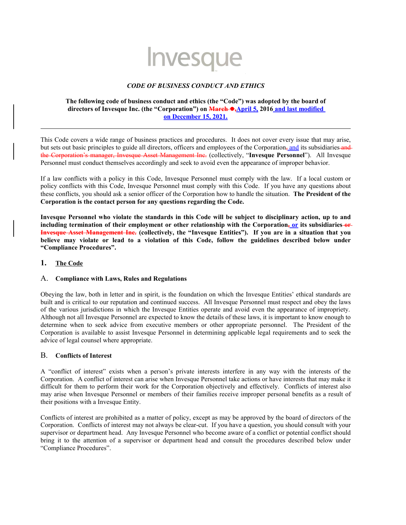

# *CODE OF BUSINESS CONDUCT AND ETHICS*

### **The following code of business conduct and ethics (the "Code") was adopted by the board of** directors of Invesque Inc. (the "Corporation") on **March**  $\bullet$  April 5, 2016 and last modified **on December 15, 2021.**

This Code covers a wide range of business practices and procedures. It does not cover every issue that may arise, but sets out basic principles to guide all directors, officers and employees of the Corporation, and its subsidiaries and the Corporation's manager, Invesque Asset Management Inc. (collectively, "**Invesque Personnel**"). All Invesque Personnel must conduct themselves accordingly and seek to avoid even the appearance of improper behavior.

If a law conflicts with a policy in this Code, Invesque Personnel must comply with the law. If a local custom or policy conflicts with this Code, Invesque Personnel must comply with this Code. If you have any questions about these conflicts, you should ask a senior officer of the Corporation how to handle the situation. **The President of the Corporation is the contact person for any questions regarding the Code.**

**Invesque Personnel who violate the standards in this Code will be subject to disciplinary action, up to and including termination of their employment or other relationship with the Corporation, or its subsidiaries or Invesque Asset Management Inc. (collectively, the "Invesque Entities"). If you are in a situation that you believe may violate or lead to a violation of this Code, follow the guidelines described below under "Compliance Procedures".**

# **1. The Code**

# A. **Compliance with Laws, Rules and Regulations**

Obeying the law, both in letter and in spirit, is the foundation on which the Invesque Entities' ethical standards are built and is critical to our reputation and continued success. All Invesque Personnel must respect and obey the laws of the various jurisdictions in which the Invesque Entities operate and avoid even the appearance of impropriety. Although not all Invesque Personnel are expected to know the details of these laws, it is important to know enough to determine when to seek advice from executive members or other appropriate personnel. The President of the Corporation is available to assist Invesque Personnel in determining applicable legal requirements and to seek the advice of legal counsel where appropriate.

# B. **Conflicts of Interest**

A "conflict of interest" exists when a person's private interests interfere in any way with the interests of the Corporation. A conflict of interest can arise when Invesque Personnel take actions or have interests that may make it difficult for them to perform their work for the Corporation objectively and effectively. Conflicts of interest also may arise when Invesque Personnel or members of their families receive improper personal benefits as a result of their positions with a Invesque Entity.

Conflicts of interest are prohibited as a matter of policy, except as may be approved by the board of directors of the Corporation. Conflicts of interest may not always be clear-cut. If you have a question, you should consult with your supervisor or department head. Any Invesque Personnel who become aware of a conflict or potential conflict should bring it to the attention of a supervisor or department head and consult the procedures described below under "Compliance Procedures".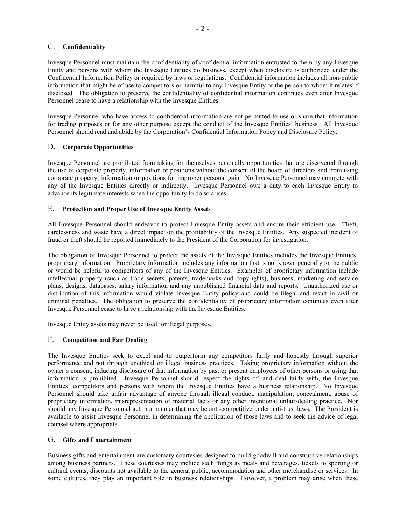### C. **Confidentiality**

Invesque Personnel must maintain the confidentiality of confidential information entrusted to them by any Invesque Entity and persons with whom the Invesque Entities do business, except when disclosure is authorized under the Confidential Information Policy or required by laws or regulations. Confidential information includes all non-public information that might be of use to competitors or harmful to any Invesque Entity or the person to whom it relates if disclosed. The obligation to preserve the confidentiality of confidential information continues even after Invesque Personnel cease to have a relationship with the Invesque Entities.

Invesque Personnel who have access to confidential information are not permitted to use or share that information for trading purposes or for any other purpose except the conduct of the Invesque Entities' business. All Invesque Personnel should read and abide by the Corporation's Confidential Information Policy and Disclosure Policy.

### D. **Corporate Opportunities**

Invesque Personnel are prohibited from taking for themselves personally opportunities that are discovered through the use of corporate property, information or positions without the consent of the board of directors and from using corporate property, information or positions for improper personal gain. No Invesque Personnel may compete with any of the Invesque Entities directly or indirectly. Invesque Personnel owe a duty to each Invesque Entity to advance its legitimate interests when the opportunity to do so arises.

### E. **Protection and Proper Use of Invesque Entity Assets**

All Invesque Personnel should endeavor to protect Invesque Entity assets and ensure their efficient use. Theft, carelessness and waste have a direct impact on the profitability of the Invesque Entities. Any suspected incident of fraud or theft should be reported immediately to the President of the Corporation for investigation.

The obligation of Invesque Personnel to protect the assets of the Invesque Entities includes the Invesque Entities' proprietary information. Proprietary information includes any information that is not known generally to the public or would be helpful to competitors of any of the Invesque Entities. Examples of proprietary information include intellectual property (such as trade secrets, patents, trademarks and copyrights), business, marketing and service plans, designs, databases, salary information and any unpublished financial data and reports. Unauthorized use or distribution of this information would violate Invesque Entity policy and could be illegal and result in civil or criminal penalties. The obligation to preserve the confidentiality of proprietary information continues even after Invesque Personnel cease to have a relationship with the Invesque Entities.

Invesque Entity assets may never be used for illegal purposes.

# F. **Competition and Fair Dealing**

The Invesque Entities seek to excel and to outperform any competitors fairly and honestly through superior performance and not through unethical or illegal business practices. Taking proprietary information without the owner's consent, inducing disclosure of that information by past or present employees of other persons or using that information is prohibited. Invesque Personnel should respect the rights of, and deal fairly with, the Invesque Entities' competitors and persons with whom the Invesque Entities have a business relationship. No Invesque Personnel should take unfair advantage of anyone through illegal conduct, manipulation, concealment, abuse of proprietary information, misrepresentation of material facts or any other intentional unfair-dealing practice. Nor should any Invesque Personnel act in a manner that may be anti-competitive under anti-trust laws. The President is available to assist Invesque Personnel in determining the application of those laws and to seek the advice of legal counsel where appropriate.

#### G. **Gifts and Entertainment**

Business gifts and entertainment are customary courtesies designed to build goodwill and constructive relationships among business partners. These courtesies may include such things as meals and beverages, tickets to sporting or cultural events, discounts not available to the general public, accommodation and other merchandise or services. In some cultures, they play an important role in business relationships. However, a problem may arise when these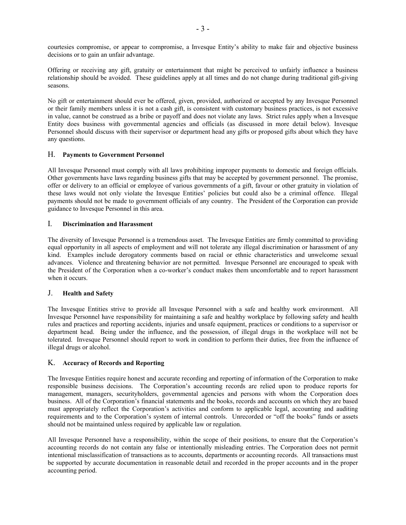courtesies compromise, or appear to compromise, a Invesque Entity's ability to make fair and objective business decisions or to gain an unfair advantage.

Offering or receiving any gift, gratuity or entertainment that might be perceived to unfairly influence a business relationship should be avoided. These guidelines apply at all times and do not change during traditional gift-giving seasons.

No gift or entertainment should ever be offered, given, provided, authorized or accepted by any Invesque Personnel or their family members unless it is not a cash gift, is consistent with customary business practices, is not excessive in value, cannot be construed as a bribe or payoff and does not violate any laws. Strict rules apply when a Invesque Entity does business with governmental agencies and officials (as discussed in more detail below). Invesque Personnel should discuss with their supervisor or department head any gifts or proposed gifts about which they have any questions.

# H. **Payments to Government Personnel**

All Invesque Personnel must comply with all laws prohibiting improper payments to domestic and foreign officials. Other governments have laws regarding business gifts that may be accepted by government personnel. The promise, offer or delivery to an official or employee of various governments of a gift, favour or other gratuity in violation of these laws would not only violate the Invesque Entities' policies but could also be a criminal offence. Illegal payments should not be made to government officials of any country. The President of the Corporation can provide guidance to Invesque Personnel in this area.

### I. **Discrimination and Harassment**

The diversity of Invesque Personnel is a tremendous asset. The Invesque Entities are firmly committed to providing equal opportunity in all aspects of employment and will not tolerate any illegal discrimination or harassment of any kind. Examples include derogatory comments based on racial or ethnic characteristics and unwelcome sexual advances. Violence and threatening behavior are not permitted. Invesque Personnel are encouraged to speak with the President of the Corporation when a co-worker's conduct makes them uncomfortable and to report harassment when it occurs.

# J. **Health and Safety**

The Invesque Entities strive to provide all Invesque Personnel with a safe and healthy work environment. All Invesque Personnel have responsibility for maintaining a safe and healthy workplace by following safety and health rules and practices and reporting accidents, injuries and unsafe equipment, practices or conditions to a supervisor or department head. Being under the influence, and the possession, of illegal drugs in the workplace will not be tolerated. Invesque Personnel should report to work in condition to perform their duties, free from the influence of illegal drugs or alcohol.

# K. **Accuracy of Records and Reporting**

The Invesque Entities require honest and accurate recording and reporting of information of the Corporation to make responsible business decisions. The Corporation's accounting records are relied upon to produce reports for management, managers, securityholders, governmental agencies and persons with whom the Corporation does business. All of the Corporation's financial statements and the books, records and accounts on which they are based must appropriately reflect the Corporation's activities and conform to applicable legal, accounting and auditing requirements and to the Corporation's system of internal controls. Unrecorded or "off the books" funds or assets should not be maintained unless required by applicable law or regulation.

All Invesque Personnel have a responsibility, within the scope of their positions, to ensure that the Corporation's accounting records do not contain any false or intentionally misleading entries. The Corporation does not permit intentional misclassification of transactions as to accounts, departments or accounting records. All transactions must be supported by accurate documentation in reasonable detail and recorded in the proper accounts and in the proper accounting period.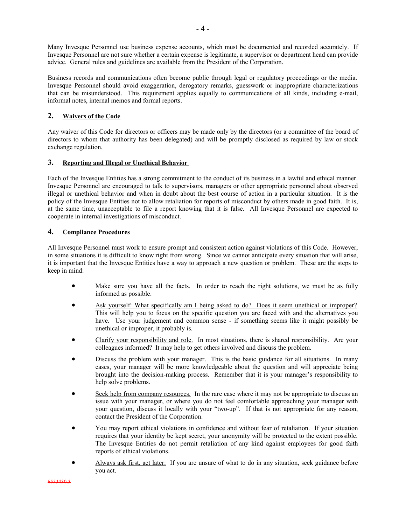Many Invesque Personnel use business expense accounts, which must be documented and recorded accurately. If Invesque Personnel are not sure whether a certain expense is legitimate, a supervisor or department head can provide advice. General rules and guidelines are available from the President of the Corporation.

Business records and communications often become public through legal or regulatory proceedings or the media. Invesque Personnel should avoid exaggeration, derogatory remarks, guesswork or inappropriate characterizations that can be misunderstood. This requirement applies equally to communications of all kinds, including e-mail, informal notes, internal memos and formal reports.

# **2. Waivers of the Code**

Any waiver of this Code for directors or officers may be made only by the directors (or a committee of the board of directors to whom that authority has been delegated) and will be promptly disclosed as required by law or stock exchange regulation.

# **3. Reporting and Illegal or Unethical Behavior**

Each of the Invesque Entities has a strong commitment to the conduct of its business in a lawful and ethical manner. Invesque Personnel are encouraged to talk to supervisors, managers or other appropriate personnel about observed illegal or unethical behavior and when in doubt about the best course of action in a particular situation. It is the policy of the Invesque Entities not to allow retaliation for reports of misconduct by others made in good faith. It is, at the same time, unacceptable to file a report knowing that it is false. All Invesque Personnel are expected to cooperate in internal investigations of misconduct.

# **4. Compliance Procedures**

All Invesque Personnel must work to ensure prompt and consistent action against violations of this Code. However, in some situations it is difficult to know right from wrong. Since we cannot anticipate every situation that will arise, it is important that the Invesque Entities have a way to approach a new question or problem. These are the steps to keep in mind:

- Make sure you have all the facts. In order to reach the right solutions, we must be as fully informed as possible.
- Ask yourself: What specifically am I being asked to do? Does it seem unethical or improper? This will help you to focus on the specific question you are faced with and the alternatives you have. Use your judgement and common sense - if something seems like it might possibly be unethical or improper, it probably is.
- Clarify your responsibility and role. In most situations, there is shared responsibility. Are your colleagues informed? It may help to get others involved and discuss the problem.
- Discuss the problem with your manager. This is the basic guidance for all situations. In many cases, your manager will be more knowledgeable about the question and will appreciate being brought into the decision-making process. Remember that it is your manager's responsibility to help solve problems.
- Seek help from company resources. In the rare case where it may not be appropriate to discuss an issue with your manager, or where you do not feel comfortable approaching your manager with your question, discuss it locally with your "two-up". If that is not appropriate for any reason, contact the President of the Corporation.
- You may report ethical violations in confidence and without fear of retaliation. If your situation requires that your identity be kept secret, your anonymity will be protected to the extent possible. The Invesque Entities do not permit retaliation of any kind against employees for good faith reports of ethical violations.
- Always ask first, act later: If you are unsure of what to do in any situation, seek guidance before you act.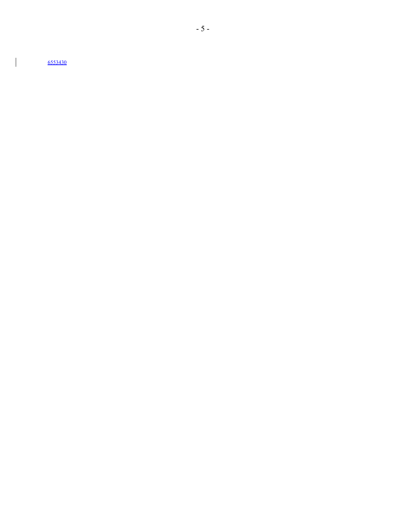6553430

 $\overline{\mathcal{L}}$